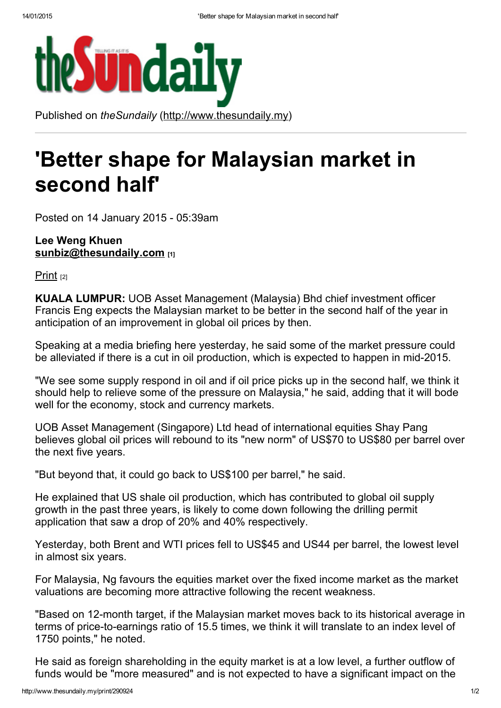

Published on *theSundaily* [\(http://www.thesundaily.my\)](http://www.thesundaily.my/)

## 'Better shape for Malaysian market in second half'

Posted on 14 January 2015 - 05:39am

## Lee Weng Khuen **[sunbiz@thesundaily.com](mailto:sunbiz@thesundaily.com)** [1]

[Print](http://www.thesundaily.my/print/290924) [2]

KUALA LUMPUR: UOB Asset Management (Malaysia) Bhd chief investment officer Francis Eng expects the Malaysian market to be better in the second half of the year in anticipation of an improvement in global oil prices by then.

Speaking at a media briefing here yesterday, he said some of the market pressure could be alleviated if there is a cut in oil production, which is expected to happen in mid-2015.

"We see some supply respond in oil and if oil price picks up in the second half, we think it should help to relieve some of the pressure on Malaysia," he said, adding that it will bode well for the economy, stock and currency markets.

UOB Asset Management (Singapore) Ltd head of international equities Shay Pang believes global oil prices will rebound to its "new norm" of US\$70 to US\$80 per barrel over the next five years.

"But beyond that, it could go back to US\$100 per barrel," he said.

He explained that US shale oil production, which has contributed to global oil supply growth in the past three years, is likely to come down following the drilling permit application that saw a drop of 20% and 40% respectively.

Yesterday, both Brent and WTI prices fell to US\$45 and US44 per barrel, the lowest level in almost six years.

For Malaysia, Ng favours the equities market over the fixed income market as the market valuations are becoming more attractive following the recent weakness.

"Based on 12-month target, if the Malaysian market moves back to its historical average in terms of price-to-earnings ratio of 15.5 times, we think it will translate to an index level of 1750 points," he noted.

He said as foreign shareholding in the equity market is at a low level, a further outflow of funds would be "more measured" and is not expected to have a significant impact on the